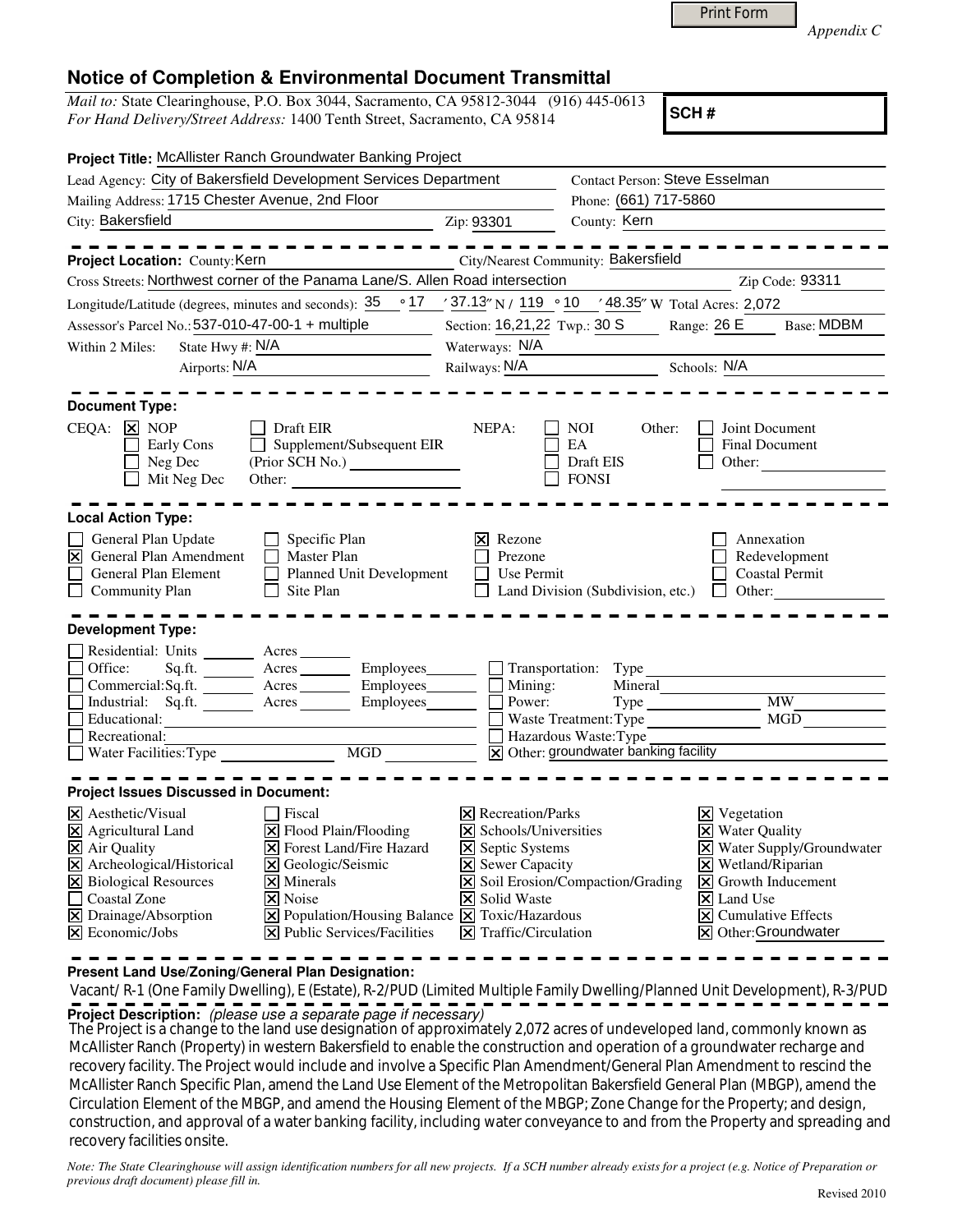|  | <b>Print Form</b> |
|--|-------------------|
|  |                   |

*Appendix C* 

## **Notice of Completion & Environmental Document Transmittal**

*Mail to:* State Clearinghouse, P.O. Box 3044, Sacramento, CA 95812-3044 (916) 445-0613 *For Hand Delivery/Street Address:* 1400 Tenth Street, Sacramento, CA 95814

**SCH #**

| Project Title: McAllister Ranch Groundwater Banking Project                                                                                                                                                                                                                                                                                                                                                                                                                                  |                                                                                                                                                                               |                                                                                                                       |                                                                                                                                                                                                                                                                    |
|----------------------------------------------------------------------------------------------------------------------------------------------------------------------------------------------------------------------------------------------------------------------------------------------------------------------------------------------------------------------------------------------------------------------------------------------------------------------------------------------|-------------------------------------------------------------------------------------------------------------------------------------------------------------------------------|-----------------------------------------------------------------------------------------------------------------------|--------------------------------------------------------------------------------------------------------------------------------------------------------------------------------------------------------------------------------------------------------------------|
| Lead Agency: City of Bakersfield Development Services Department                                                                                                                                                                                                                                                                                                                                                                                                                             |                                                                                                                                                                               | Contact Person: Steve Esselman                                                                                        |                                                                                                                                                                                                                                                                    |
| Mailing Address: 1715 Chester Avenue, 2nd Floor                                                                                                                                                                                                                                                                                                                                                                                                                                              |                                                                                                                                                                               | Phone: (661) 717-5860                                                                                                 |                                                                                                                                                                                                                                                                    |
| City: Bakersfield                                                                                                                                                                                                                                                                                                                                                                                                                                                                            | Zip: 93301                                                                                                                                                                    | County: Kern                                                                                                          |                                                                                                                                                                                                                                                                    |
| ---------<br>Project Location: County: Kern                                                                                                                                                                                                                                                                                                                                                                                                                                                  |                                                                                                                                                                               | City/Nearest Community: Bakersfield                                                                                   |                                                                                                                                                                                                                                                                    |
| Cross Streets: Northwest corner of the Panama Lane/S. Allen Road intersection                                                                                                                                                                                                                                                                                                                                                                                                                |                                                                                                                                                                               |                                                                                                                       | Zip Code: 93311                                                                                                                                                                                                                                                    |
| Longitude/Latitude (degrees, minutes and seconds): $35 \degree 17 \degree 37.13$ N / $119 \degree 10 \degree 48.35$ W Total Acres: 2,072                                                                                                                                                                                                                                                                                                                                                     |                                                                                                                                                                               |                                                                                                                       |                                                                                                                                                                                                                                                                    |
| Assessor's Parcel No.: 537-010-47-00-1 + multiple                                                                                                                                                                                                                                                                                                                                                                                                                                            | Section: 16,21,22 Twp.: 30 S                                                                                                                                                  | Range: 26 E                                                                                                           | <b>Base: MDBM</b>                                                                                                                                                                                                                                                  |
| State Hwy #: $N/A$<br>Within 2 Miles:                                                                                                                                                                                                                                                                                                                                                                                                                                                        | Waterways: N/A                                                                                                                                                                |                                                                                                                       |                                                                                                                                                                                                                                                                    |
| Airports: N/A                                                                                                                                                                                                                                                                                                                                                                                                                                                                                | Railways: N/A                                                                                                                                                                 | Schools: N/A                                                                                                          |                                                                                                                                                                                                                                                                    |
| <b>Document Type:</b>                                                                                                                                                                                                                                                                                                                                                                                                                                                                        |                                                                                                                                                                               |                                                                                                                       |                                                                                                                                                                                                                                                                    |
| $CEQA: \times NOP$<br>Draft EIR<br>$\perp$<br>$\Box$ Supplement/Subsequent EIR<br><b>Early Cons</b><br>$\Box$ Neg Dec<br>$\Box$ Mit Neg Dec                                                                                                                                                                                                                                                                                                                                                  | NEPA:                                                                                                                                                                         | NOI.<br>Other:<br>EA<br>Draft EIS<br><b>FONSI</b>                                                                     | Joint Document<br>Final Document<br>Other:                                                                                                                                                                                                                         |
| <b>Local Action Type:</b>                                                                                                                                                                                                                                                                                                                                                                                                                                                                    |                                                                                                                                                                               |                                                                                                                       |                                                                                                                                                                                                                                                                    |
| General Plan Update<br>$\Box$ Specific Plan<br>$\triangleright$ General Plan Amendment<br>$\Box$ Master Plan<br>General Plan Element<br>Planned Unit Development<br>$\mathbf{L}$<br>$\Box$ Community Plan<br>$\Box$ Site Plan                                                                                                                                                                                                                                                                | $\vert \mathsf{x} \vert$ Rezone<br>Prezone<br>$\Box$ Use Permit                                                                                                               | Land Division (Subdivision, etc.) $\Box$ Other:                                                                       | Annexation<br>Redevelopment<br><b>Coastal Permit</b>                                                                                                                                                                                                               |
| <b>Development Type:</b>                                                                                                                                                                                                                                                                                                                                                                                                                                                                     |                                                                                                                                                                               |                                                                                                                       |                                                                                                                                                                                                                                                                    |
| Residential: Units ________ Acres _______<br>Office:<br>Sq.ft. ________ Acres _________ Employees ________ __ Transportation: Type ______<br>$Commetrical:$ Sq.ft. $\overline{\qquad}$ Acres $\overline{\qquad}$ Employees $\Box$ Mining:<br>Industrial: Sq.ft. Acres Employees Power:<br>$\Box$ Educational:<br>Г<br>Recreational:                                                                                                                                                          |                                                                                                                                                                               | Mineral<br>Waste Treatment: Type<br>Hazardous Waste: Type<br>$\boxed{\mathsf{x}}$ Other: groundwater banking facility | Type MW<br>MGD                                                                                                                                                                                                                                                     |
|                                                                                                                                                                                                                                                                                                                                                                                                                                                                                              |                                                                                                                                                                               |                                                                                                                       |                                                                                                                                                                                                                                                                    |
| <b>Project Issues Discussed in Document:</b>                                                                                                                                                                                                                                                                                                                                                                                                                                                 |                                                                                                                                                                               |                                                                                                                       |                                                                                                                                                                                                                                                                    |
| X Aesthetic/Visual<br>  Fiscal<br>$\boxtimes$ Agricultural Land<br>X Flood Plain/Flooding<br>X Air Quality<br><b>X</b> Forest Land/Fire Hazard<br>$\overline{\mathsf{X}}$ Archeological/Historical<br>X Geologic/Seismic<br>X Biological Resources<br>$\times$ Minerals<br>□ Coastal Zone<br>$\boxtimes$ Noise<br>X Drainage/Absorption<br>$\boxed{\mathbf{X}}$ Population/Housing Balance $\boxed{\mathbf{X}}$ Toxic/Hazardous<br>$\boxtimes$ Economic/Jobs<br>X Public Services/Facilities | <b>X</b> Recreation/Parks<br>X Schools/Universities<br><b>X</b> Septic Systems<br><b>X</b> Sewer Capacity<br><b>X</b> Solid Waste<br>$\boxed{\mathsf{X}}$ Traffic/Circulation | X Soil Erosion/Compaction/Grading                                                                                     | $\boxtimes$ Vegetation<br><b>X</b> Water Quality<br>X Water Supply/Groundwater<br>$\boxtimes$ Wetland/Riparian<br>$\boxed{\mathsf{X}}$ Growth Inducement<br>$\vert\mathsf{X}\vert$ Land Use<br>$ \mathsf{x} $ Cumulative Effects<br>$\boxtimes$ Other: Groundwater |

**Present Land Use/Zoning/General Plan Designation:**

Vacant/R-1 (One Family Dwelling), E (Estate), R-2/PUD (Limited Multiple Family Dwelling/Planned Unit Development), R-3/PUD **Project Description:** (please use a separate page if necessary)

 The Project is a change to the land use designation of approximately 2,072 acres of undeveloped land, commonly known as McAllister Ranch (Property) in western Bakersfield to enable the construction and operation of a groundwater recharge and recovery facility. The Project would include and involve a Specific Plan Amendment/General Plan Amendment to rescind the McAllister Ranch Specific Plan, amend the Land Use Element of the Metropolitan Bakersfield General Plan (MBGP), amend the Circulation Element of the MBGP, and amend the Housing Element of the MBGP; Zone Change for the Property; and design, construction, and approval of a water banking facility, including water conveyance to and from the Property and spreading and recovery facilities onsite.

*Note: The State Clearinghouse will assign identification numbers for all new projects. If a SCH number already exists for a project (e.g. Notice of Preparation or previous draft document) please fill in.*